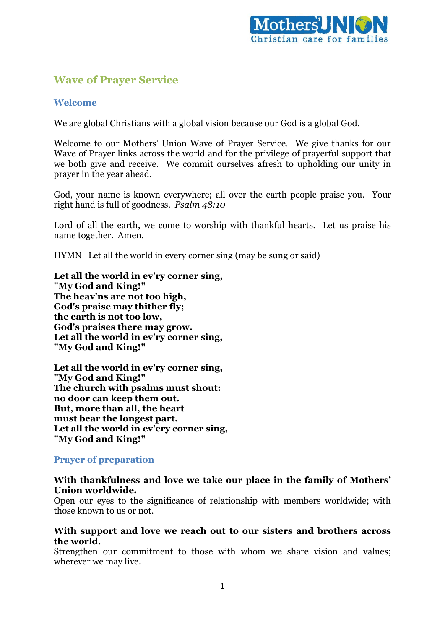

# **Wave of Prayer Service**

## **Welcome**

We are global Christians with a global vision because our God is a global God.

Welcome to our Mothers' Union Wave of Prayer Service. We give thanks for our Wave of Prayer links across the world and for the privilege of prayerful support that we both give and receive. We commit ourselves afresh to upholding our unity in prayer in the year ahead.

God, your name is known everywhere; all over the earth people praise you. Your right hand is full of goodness. *Psalm 48:10*

Lord of all the earth, we come to worship with thankful hearts. Let us praise his name together. Amen.

HYMN Let all the world in every corner sing (may be sung or said)

**Let all the world in ev'ry corner sing, "My God and King!" The heav'ns are not too high, God's praise may thither fly; the earth is not too low, God's praises there may grow. Let all the world in ev'ry corner sing, "My God and King!"**

**Let all the world in ev'ry corner sing, "My God and King!" The church with psalms must shout: no door can keep them out. But, more than all, the heart must bear the longest part. Let all the world in ev'ery corner sing, "My God and King!"**

### **Prayer of preparation**

### **With thankfulness and love we take our place in the family of Mothers' Union worldwide.**

Open our eyes to the significance of relationship with members worldwide; with those known to us or not.

### **With support and love we reach out to our sisters and brothers across the world.**

Strengthen our commitment to those with whom we share vision and values; wherever we may live.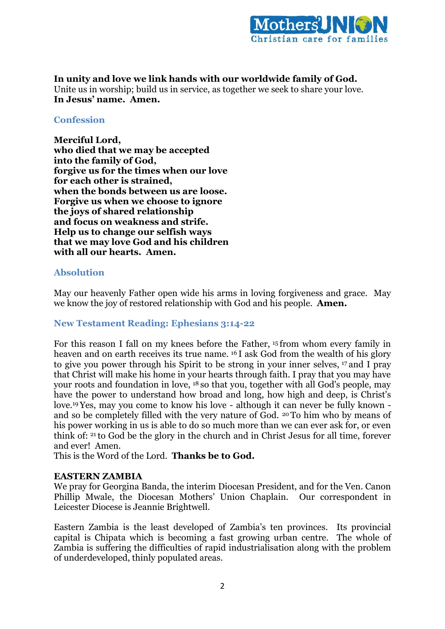

**In unity and love we link hands with our worldwide family of God.** Unite us in worship; build us in service, as together we seek to share your love. **In Jesus' name. Amen.**

#### **Confession**

**Merciful Lord, who died that we may be accepted into the family of God, forgive us for the times when our love for each other is strained, when the bonds between us are loose. Forgive us when we choose to ignore the joys of shared relationship and focus on weakness and strife. Help us to change our selfish ways that we may love God and his children with all our hearts. Amen.**

### **Absolution**

May our heavenly Father open wide his arms in loving forgiveness and grace. May we know the joy of restored relationship with God and his people. **Amen.**

### **New Testament Reading: Ephesians 3:14-22**

For this reason I fall on my knees before the Father, <sup>15</sup> from whom every family in heaven and on earth receives its true name. <sup>16</sup> I ask God from the wealth of his glory to give you power through his Spirit to be strong in your inner selves, <sup>17</sup> and I pray that Christ will make his home in your hearts through faith. I pray that you may have your roots and foundation in love, <sup>18</sup> so that you, together with all God's people, may have the power to understand how broad and long, how high and deep, is Christ's love.19Yes, may you come to know his love - although it can never be fully known and so be completely filled with the very nature of God. <sup>20</sup> To him who by means of his power working in us is able to do so much more than we can ever ask for, or even think of: <sup>21</sup> to God be the glory in the church and in Christ Jesus for all time, forever and ever! Amen.

This is the Word of the Lord. **Thanks be to God.**

### **EASTERN ZAMBIA**

We pray for Georgina Banda, the interim Diocesan President, and for the Ven. Canon Phillip Mwale, the Diocesan Mothers' Union Chaplain. Our correspondent in Leicester Diocese is Jeannie Brightwell.

Eastern Zambia is the least developed of Zambia's ten provinces. Its provincial capital is Chipata which is becoming a fast growing urban centre. The whole of Zambia is suffering the difficulties of rapid industrialisation along with the problem of underdeveloped, thinly populated areas.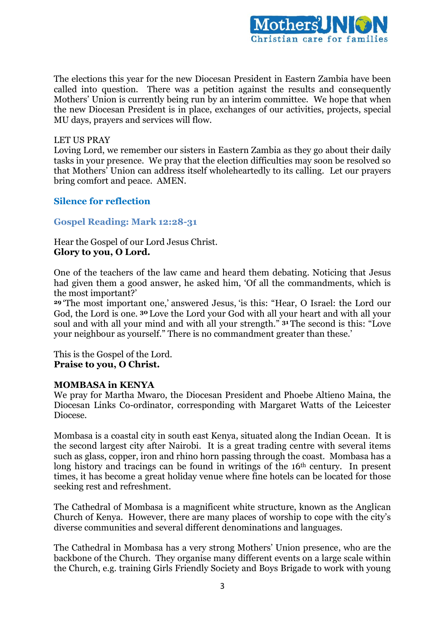

The elections this year for the new Diocesan President in Eastern Zambia have been called into question. There was a petition against the results and consequently Mothers' Union is currently being run by an interim committee. We hope that when the new Diocesan President is in place, exchanges of our activities, projects, special MU days, prayers and services will flow.

#### LET US PRAY

Loving Lord, we remember our sisters in Eastern Zambia as they go about their daily tasks in your presence. We pray that the election difficulties may soon be resolved so that Mothers' Union can address itself wholeheartedly to its calling. Let our prayers bring comfort and peace. AMEN.

### **Silence for reflection**

### **Gospel Reading: Mark 12:28-31**

Hear the Gospel of our Lord Jesus Christ. **Glory to you, O Lord.**

One of the teachers of the law came and heard them debating. Noticing that Jesus had given them a good answer, he asked him, 'Of all the commandments, which is the most important?'

**<sup>29</sup>** 'The most important one,' answered Jesus, 'is this: "Hear, O Israel: the Lord our God, the Lord is one. **<sup>30</sup>** Love the Lord your God with all your heart and with all your soul and with all your mind and with all your strength." **<sup>31</sup>** The second is this: "Love your neighbour as yourself." There is no commandment greater than these.'

This is the Gospel of the Lord. **Praise to you, O Christ.**

### **MOMBASA in KENYA**

We pray for Martha Mwaro, the Diocesan President and Phoebe Altieno Maina, the Diocesan Links Co-ordinator, corresponding with Margaret Watts of the Leicester Diocese.

Mombasa is a coastal city in south east Kenya, situated along the Indian Ocean. It is the second largest city after Nairobi. It is a great trading centre with several items such as glass, copper, iron and rhino horn passing through the coast. Mombasa has a long history and tracings can be found in writings of the 16<sup>th</sup> century. In present times, it has become a great holiday venue where fine hotels can be located for those seeking rest and refreshment.

The Cathedral of Mombasa is a magnificent white structure, known as the Anglican Church of Kenya. However, there are many places of worship to cope with the city's diverse communities and several different denominations and languages.

The Cathedral in Mombasa has a very strong Mothers' Union presence, who are the backbone of the Church. They organise many different events on a large scale within the Church, e.g. training Girls Friendly Society and Boys Brigade to work with young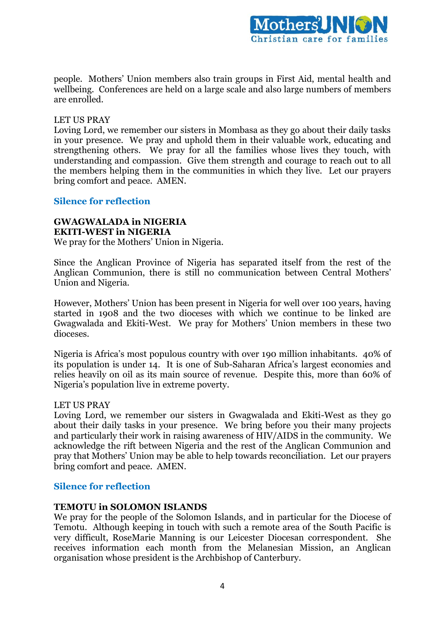

people. Mothers' Union members also train groups in First Aid, mental health and wellbeing. Conferences are held on a large scale and also large numbers of members are enrolled.

### LET US PRAY

Loving Lord, we remember our sisters in Mombasa as they go about their daily tasks in your presence. We pray and uphold them in their valuable work, educating and strengthening others. We pray for all the families whose lives they touch, with understanding and compassion. Give them strength and courage to reach out to all the members helping them in the communities in which they live. Let our prayers bring comfort and peace. AMEN.

### **Silence for reflection**

#### **GWAGWALADA in NIGERIA EKITI-WEST in NIGERIA**

We pray for the Mothers' Union in Nigeria.

Since the Anglican Province of Nigeria has separated itself from the rest of the Anglican Communion, there is still no communication between Central Mothers' Union and Nigeria.

However, Mothers' Union has been present in Nigeria for well over 100 years, having started in 1908 and the two dioceses with which we continue to be linked are Gwagwalada and Ekiti-West. We pray for Mothers' Union members in these two dioceses.

Nigeria is Africa's most populous country with over 190 million inhabitants. 40% of its population is under 14. It is one of Sub-Saharan Africa's largest economies and relies heavily on oil as its main source of revenue. Despite this, more than 60% of Nigeria's population live in extreme poverty.

#### LET US PRAY

Loving Lord, we remember our sisters in Gwagwalada and Ekiti-West as they go about their daily tasks in your presence. We bring before you their many projects and particularly their work in raising awareness of HIV/AIDS in the community. We acknowledge the rift between Nigeria and the rest of the Anglican Communion and pray that Mothers' Union may be able to help towards reconciliation. Let our prayers bring comfort and peace. AMEN.

### **Silence for reflection**

#### **TEMOTU in SOLOMON ISLANDS**

We pray for the people of the Solomon Islands, and in particular for the Diocese of Temotu. Although keeping in touch with such a remote area of the South Pacific is very difficult, RoseMarie Manning is our Leicester Diocesan correspondent. She receives information each month from the Melanesian Mission, an Anglican organisation whose president is the Archbishop of Canterbury.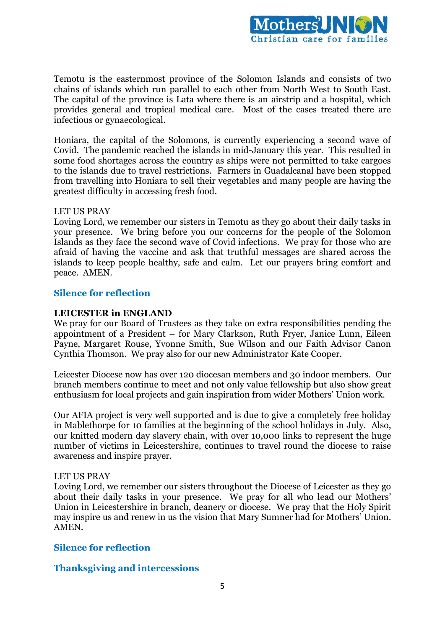

Temotu is the easternmost province of the Solomon Islands and consists of two chains of islands which run parallel to each other from North West to South East. The capital of the province is Lata where there is an airstrip and a hospital, which provides general and tropical medical care. Most of the cases treated there are infectious or gynaecological.

Honiara, the capital of the Solomons, is currently experiencing a second wave of Covid. The pandemic reached the islands in mid-January this year. This resulted in some food shortages across the country as ships were not permitted to take cargoes to the islands due to travel restrictions. Farmers in Guadalcanal have been stopped from travelling into Honiara to sell their vegetables and many people are having the greatest difficulty in accessing fresh food.

### LET US PRAY

Loving Lord, we remember our sisters in Temotu as they go about their daily tasks in your presence. We bring before you our concerns for the people of the Solomon Islands as they face the second wave of Covid infections. We pray for those who are afraid of having the vaccine and ask that truthful messages are shared across the islands to keep people healthy, safe and calm. Let our prayers bring comfort and peace. AMEN.

### **Silence for reflection**

#### **LEICESTER in ENGLAND**

We pray for our Board of Trustees as they take on extra responsibilities pending the appointment of a President – for Mary Clarkson, Ruth Fryer, Janice Lunn, Eileen Payne, Margaret Rouse, Yvonne Smith, Sue Wilson and our Faith Advisor Canon Cynthia Thomson. We pray also for our new Administrator Kate Cooper.

Leicester Diocese now has over 120 diocesan members and 30 indoor members. Our branch members continue to meet and not only value fellowship but also show great enthusiasm for local projects and gain inspiration from wider Mothers' Union work.

Our AFIA project is very well supported and is due to give a completely free holiday in Mablethorpe for 10 families at the beginning of the school holidays in July. Also, our knitted modern day slavery chain, with over 10,000 links to represent the huge number of victims in Leicestershire, continues to travel round the diocese to raise awareness and inspire prayer.

#### LET US PRAY

Loving Lord, we remember our sisters throughout the Diocese of Leicester as they go about their daily tasks in your presence. We pray for all who lead our Mothers' Union in Leicestershire in branch, deanery or diocese. We pray that the Holy Spirit may inspire us and renew in us the vision that Mary Sumner had for Mothers' Union. AMEN.

#### **Silence for reflection**

### **Thanksgiving and intercessions**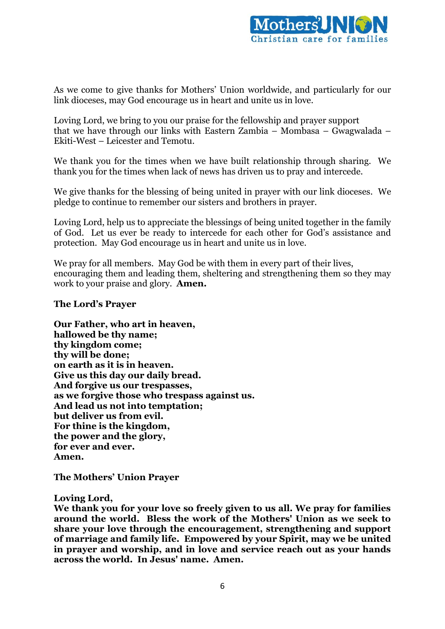

As we come to give thanks for Mothers' Union worldwide, and particularly for our link dioceses, may God encourage us in heart and unite us in love.

Loving Lord, we bring to you our praise for the fellowship and prayer support that we have through our links with Eastern Zambia – Mombasa – Gwagwalada – Ekiti-West – Leicester and Temotu.

We thank you for the times when we have built relationship through sharing. We thank you for the times when lack of news has driven us to pray and intercede.

We give thanks for the blessing of being united in prayer with our link dioceses. We pledge to continue to remember our sisters and brothers in prayer.

Loving Lord, help us to appreciate the blessings of being united together in the family of God. Let us ever be ready to intercede for each other for God's assistance and protection. May God encourage us in heart and unite us in love.

We pray for all members. May God be with them in every part of their lives, encouraging them and leading them, sheltering and strengthening them so they may work to your praise and glory. **Amen.**

### **The Lord's Prayer**

**Our Father, who art in heaven, hallowed be thy name; thy kingdom come; thy will be done; on earth as it is in heaven. Give us this day our daily bread. And forgive us our trespasses, as we forgive those who trespass against us. And lead us not into temptation; but deliver us from evil. For thine is the kingdom, the power and the glory, for ever and ever. Amen.**

**The Mothers' Union Prayer**

#### **Loving Lord,**

**We thank you for your love so freely given to us all. We pray for families around the world. Bless the work of the Mothers' Union as we seek to share your love through the encouragement, strengthening and support of marriage and family life. Empowered by your Spirit, may we be united in prayer and worship, and in love and service reach out as your hands across the world. In Jesus' name. Amen.**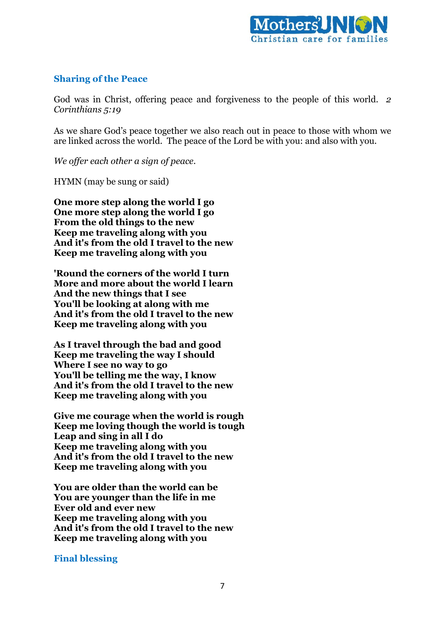

# **Sharing of the Peace**

God was in Christ, offering peace and forgiveness to the people of this world. *2 Corinthians 5:19*

As we share God's peace together we also reach out in peace to those with whom we are linked across the world. The peace of the Lord be with you: and also with you.

*We offer each other a sign of peace.*

HYMN (may be sung or said)

**One more step along the world I go One more step along the world I go From the old things to the new Keep me traveling along with you And it's from the old I travel to the new Keep me traveling along with you**

**'Round the corners of the world I turn More and more about the world I learn And the new things that I see You'll be looking at along with me And it's from the old I travel to the new Keep me traveling along with you**

**As I travel through the bad and good Keep me traveling the way I should Where I see no way to go You'll be telling me the way, I know And it's from the old I travel to the new Keep me traveling along with you**

**Give me courage when the world is rough Keep me loving though the world is tough Leap and sing in all I do Keep me traveling along with you And it's from the old I travel to the new Keep me traveling along with you**

**You are older than the world can be You are younger than the life in me Ever old and ever new Keep me traveling along with you And it's from the old I travel to the new Keep me traveling along with you**

### **Final blessing**